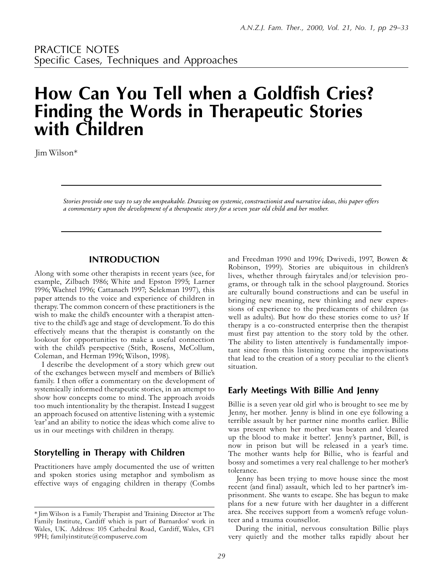# How Can You Tell when a Goldfish Cries? Finding the Words in Therapeutic Stories with Children

Jim Wilson\*

Stories provide one way to say the unspeakable. Drawing on systemic, constructionist and narrative ideas, this paper offers a commentary upon the development of a therapeutic story for a seven year old child and her mother.

#### INTRODUCTION

Along with some other therapists in recent years (see, for example, Zilbach 1986; White and Epston 1995; Larner 1996; Wachtel 1996; Cattanach 1997; Selekman 1997), this paper attends to the voice and experience of children in therapy.The common concern of these practitioners is the wish to make the child's encounter with a therapist attentive to the child's age and stage of development.To do this effectively means that the therapist is constantly on the lookout for opportunities to make a useful connection with the child's perspective (Stith, Rosens, McCollum, Coleman, and Herman 1996; Wilson, 1998).

I describe the development of a story which grew out of the exchanges between myself and members of Billie's family. I then offer a commentary on the development of systemically informed therapeutic stories, in an attempt to show how concepts come to mind. The approach avoids too much intentionality by the therapist. Instead I suggest an approach focused on attentive listening with a systemic `ear' and an ability to notice the ideas which come alive to us in our meetings with children in therapy.

## Storytelling in Therapy with Children

Practitioners have amply documented the use of written and spoken stories using metaphor and symbolism as effective ways of engaging children in therapy (Combs and Freedman 1990 and 1996; Dwivedi, 1997, Bowen & Robinson, 1999). Stories are ubiquitous in children's lives, whether through fairytales and/or television programs, or through talk in the school playground. Stories are culturally bound constructions and can be useful in bringing new meaning, new thinking and new expressions of experience to the predicaments of children (as well as adults). But how do these stories come to us? If therapy is a co-constructed enterprise then the therapist must first pay attention to the story told by the other. The ability to listen attentively is fundamentally important since from this listening come the improvisations that lead to the creation of a story peculiar to the client's situation.

## Early Meetings With Billie And Jenny

Billie is a seven year old girl who is brought to see me by Jenny, her mother. Jenny is blind in one eye following a terrible assault by her partner nine months earlier. Billie was present when her mother was beaten and `cleared up the blood to make it better'. Jenny's partner, Bill, is now in prison but will be released in a year's time. The mother wants help for Billie, who is fearful and bossy and sometimes a very real challenge to her mother's tolerance.

Jenny has been trying to move house since the most recent (and final) assault, which led to her partner's imprisonment. She wants to escape. She has begun to make plans for a new future with her daughter in a different area. She receives support from a women's refuge volunteer and a trauma counsellor.

During the initial, nervous consultation Billie plays very quietly and the mother talks rapidly about her

<sup>\*</sup>Jim Wilson is a Family Therapist and Training Director at The Family Institute, Cardiff which is part of Barnardos' work in Wales, UK. Address: 105 Cathedral Road, Cardiff, Wales, CF1 9PH; familyinstitute@compuserve.com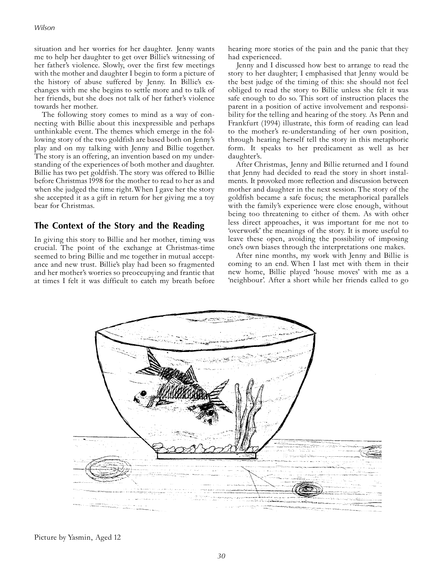situation and her worries for her daughter. Jenny wants me to help her daughter to get over Billie's witnessing of her father's violence. Slowly, over the first few meetings with the mother and daughter I begin to form a picture of the history of abuse suffered by Jenny. In Billie's exchanges with me she begins to settle more and to talk of her friends, but she does not talk of her father's violence towards her mother.

The following story comes to mind as a way of connecting with Billie about this inexpressible and perhaps unthinkable event. The themes which emerge in the following story of the two goldfish are based both on Jenny's play and on my talking with Jenny and Billie together. The story is an offering, an invention based on my understanding of the experiences of both mother and daughter. Billie has two pet goldfish.The story was offered to Billie before Christmas 1998 for the mother to read to her as and when she judged the time right.When I gave her the story she accepted it as a gift in return for her giving me a toy bear for Christmas.

## The Context of the Story and the Reading

In giving this story to Billie and her mother, timing was crucial. The point of the exchange at Christmas-time seemed to bring Billie and me together in mutual acceptance and new trust. Billie's play had been so fragmented and her mother's worries so preoccupying and frantic that at times I felt it was difficult to catch my breath before hearing more stories of the pain and the panic that they had experienced.

Jenny and I discussed how best to arrange to read the story to her daughter; I emphasised that Jenny would be the best judge of the timing of this: she should not feel obliged to read the story to Billie unless she felt it was safe enough to do so. This sort of instruction places the parent in a position of active involvement and responsibility for the telling and hearing of the story. As Penn and Frankfurt (1994) illustrate, this form of reading can lead to the mother's re-understanding of her own position, through hearing herself tell the story in this metaphoric form. It speaks to her predicament as well as her daughter's.

After Christmas, Jenny and Billie returned and I found that Jenny had decided to read the story in short instalments. It provoked more reflection and discussion between mother and daughter in the next session. The story of the goldfish became a safe focus; the metaphorical parallels with the family's experience were close enough, without being too threatening to either of them. As with other less direct approaches, it was important for me not to `overwork' the meanings of the story. It is more useful to leave these open, avoiding the possibility of imposing one's own biases through the interpretations one makes.

After nine months, my work with Jenny and Billie is coming to an end. When I last met with them in their new home, Billie played `house moves' with me as a `neighbour'. After a short while her friends called to go



Picture by Yasmin, Aged 12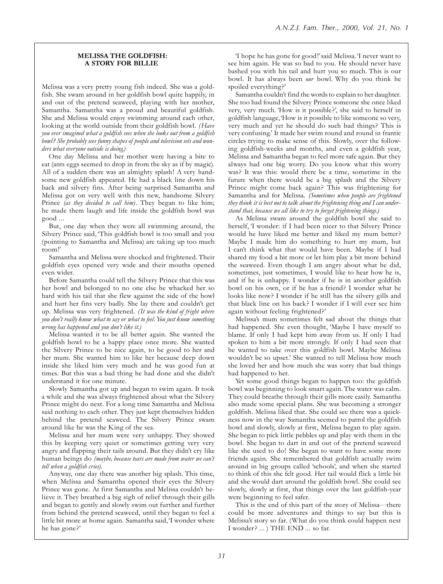#### MELISSA THE GOLDFISH: A STORY FOR BILLIE

Melissa was a very pretty young fish indeed. She was a goldfish. She swam around in her goldfish bowl quite happily, in and out of the pretend seaweed, playing with her mother, Samantha. Samantha was a proud and beautiful goldfish. She and Melissa would enjoy swimming around each other, looking at the world outside from their goldfish bowl. (Have you ever imagined what a goldfish sees when she looks out from a goldfish bowl? She probably sees funny shapes of people and television sets and wonders what everyone outside is doing.)

One day Melissa and her mother were having a bite to eat (ants eggs seemed to drop in from the sky as if by magic). All of a sudden there was an almighty splash! A very handsome new goldfish appeared. He had a black line down his back and silvery fins. After being surprised Samantha and Melissa got on very well with this new, handsome Silvery Prince (as they decided to call him). They began to like him; he made them laugh and life inside the goldfish bowl was good ...

But, one day when they were all swimming around, the Silvery Prince said, 'This goldfish bowl is too small and you (pointing to Samantha and Melissa) are taking up too much room!'

Samantha and Melissa were shocked and frightened.Their goldfish eyes opened very wide and their mouths opened even wider.

Before Samantha could tell the Silvery Prince that this was her bowl and belonged to no one else he whacked her so hard with his tail that she flew against the side of the bowl and hurt her fins very badly. She lay there and couldn't get up. Melissa was very frightened. (It was the kind of fright where you don't really know what to say or what to feel.You just know something wrong has happened and you don't like it.)

Melissa wanted it to be all better again. She wanted the goldfish bowl to be a happy place once more. She wanted the Silvery Prince to be nice again, to be good to her and her mum. She wanted him to like her because deep down inside she liked him very much and he was good fun at times. But this was a bad thing he had done and she didn't understand it for one minute.

Slowly Samantha got up and began to swim again. It took a while and she was always frightened about what the Silvery Prince might do next. For a long time Samantha and Melissa said nothing to each other. They just kept themselves hidden behind the pretend seaweed. The Silvery Prince swam around like he was the King of the sea.

Melissa and her mum were very unhappy. They showed this by keeping very quiet or sometimes getting very very angry and flapping their tails around. But they didn't cry like human beings do (maybe, because tears are made from water we can't tell when a goldfish cries).

Anyway, one day there was another big splash. This time, when Melissa and Samantha opened their eyes the Silvery Prince was gone. At first Samantha and Melissa couldn't believe it. They breathed a big sigh of relief through their gills and began to gently and slowly swim out further and further from behind the pretend seaweed, until they began to feel a little bit more at home again. Samantha said, I wonder where he has gone?'

`I hope he has gone for good!' said Melissa.`I never want to see him again. He was so bad to you. He should never have bashed you with his tail and hurt you so much. This is our bowl. It has always been our bowl. Why do you think he spoiled everything?'

Samantha couldn't find the words to explain to her daughter. She too had found the Silvery Prince someone she once liked very, very much. How is it possible?', she said to herself in goldfish language,`How is it possible to like someone so very, very much and yet he should do such bad things? This is very confusing.' It made her swim round and round in frantic circles trying to make sense of this. Slowly, over the following goldfish-weeks and months, and even a goldfish year, Melissa and Samantha began to feel more safe again. But they always had one big worry. Do you know what this worry was? It was this: would there be a time, sometime in the future when there would be a big splash and the Silvery Prince might come back again? This was frightening for Samantha and for Melissa. (Sometimes when people are frightened they think it is best not to talk about the frightening thing and I can understand that, because we all like to try to forget frightening things.)

As Melissa swam around the goldfish bowl she said to herself, 'I wonder: if I had been nicer to that Silvery Prince would he have liked me better and liked my mum better ? Maybe I made him do something to hurt my mum, but I can't think what that would have been. Maybe if I had shared my food a bit more or let him play a bit more behind the seaweed. Even though I am angry about what he did, sometimes, just sometimes, I would like to hear how he is, and if he is unhappy. I wonder if he is in another goldfish bowl on his own, or if he has a friend? I wonder what he looks like now? I wonder if he still has the silvery gills and that black line on his back? I wonder if I will ever see him again without feeling frightened?'

Melissa's mum sometimes felt sad about the things that had happened. She even thought, 'Maybe I have myself to blame. If only I had kept him away from us. If only I had spoken to him a bit more strongly. If only I had seen that he wanted to take over this goldfish bowl. Maybe Melissa wouldn't be so upset.' She wanted to tell Melissa how much she loved her and how much she was sorry that bad things had happened to her.

Yet some good things began to happen too: the goldfish bowl was beginning to look smart again.The water was calm. They could breathe through their gills more easily. Samantha also made some special plans. She was becoming a stronger goldfish. Melissa liked that. She could see there was a quickness now in the way Samantha seemed to patrol the goldfish bowl and slowly, slowly at first, Melissa began to play again. She began to pick little pebbles up and play with them in the bowl. She began to dart in and out of the pretend seaweed like she used to do! She began to want to have some more friends again. She remembered that goldfish actually swim around in big groups called `schools', and when she started to think of this she felt good. Her tail would flick a little bit and she would dart around the goldfish bowl. She could see slowly, slowly at first, that things over the last goldfish-year were beginning to feel safer.

This is the end of this part of the story of Melissa-there could be more adventures and things to say but this is Melissa's story so far. (What do you think could happen next I wonder ? ... ) THE END ... so far.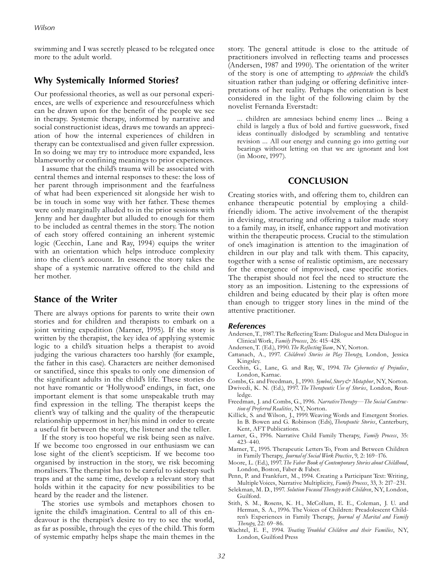swimming and I was secretly pleased to be relegated once more to the adult world.

## Why Systemically Informed Stories?

Our professional theories, as well as our personal experiences, are wells of experience and resourcefulness which can be drawn upon for the benefit of the people we see in therapy. Systemic therapy, informed by narrative and social constructionist ideas, draws me towards an appreciation of how the internal experiences of children in therapy can be contextualised and given fuller expression. In so doing we may try to introduce more expanded, less blameworthy or confining meanings to prior experiences.

I assume that the child's trauma will be associated with central themes and internal responses to these: the loss of her parent through imprisonment and the fearfulness of what had been experienced sit alongside her wish to be in touch in some way with her father. These themes were only marginally alluded to in the prior sessions with Jenny and her daughter but alluded to enough for them to be included as central themes in the story. The notion of each story offered containing an inherent systemic logic (Cecchin, Lane and Ray, 1994) equips the writer with an orientation which helps introduce complexity into the client's account. In essence the story takes the shape of a systemic narrative offered to the child and her mother.

## Stance of the Writer

There are always options for parents to write their own stories and for children and therapists to embark on a joint writing expedition (Marner, 1995). If the story is written by the therapist, the key idea of applying systemic logic to a child's situation helps a therapist to avoid judging the various characters too harshly (for example, the father in this case). Characters are neither demonised or sanctified, since this speaks to only one dimension of the significant adults in the child's life. These stories do not have romantic or `Hollywood' endings, in fact, one important element is that some unspeakable truth may find expression in the telling. The therapist keeps the client's way of talking and the quality of the therapeutic relationship uppermost in her/his mind in order to create a useful fit between the story, the listener and the teller.

If the story is too hopeful we risk being seen as naïve. If we become too engrossed in our enthusiasm we can lose sight of the client's scepticism. If we become too organised by instruction in the story, we risk becoming moralisers.The therapist has to be careful to sidestep such traps and at the same time, develop a relevant story that holds within it the capacity for new possibilities to be heard by the reader and the listener.

The stories use symbols and metaphors chosen to ignite the child's imagination. Central to all of this endeavour is the therapist's desire to try to see the world, as far as possible, through the eyes of the child.This form of systemic empathy helps shape the main themes in the story. The general attitude is close to the attitude of practitioners involved in reflecting teams and processes (Andersen, 1987 and 1990). The orientation of the writer of the story is one of attempting to appreciate the child's situation rather than judging or offering definitive interpretations of her reality. Perhaps the orientation is best considered in the light of the following claim by the novelist Fernanda Everstadt:

... children are amnesiacs behind enemy lines ... Being a child is largely a flux of bold and furtive guesswork, fixed ideas continually dislodged by scrambling and tentative revision ... All our energy and cunning go into getting our bearings without letting on that we are ignorant and lost (in Moore, 1997).

## **CONCLUSION**

Creating stories with, and offering them to, children can enhance therapeutic potential by employing a childfriendly idiom. The active involvement of the therapist in devising, structuring and offering a tailor made story to a family may, in itself, enhance rapport and motivation within the therapeutic process. Crucial to the stimulation of one's imagination is attention to the imagination of children in our play and talk with them. This capacity, together with a sense of realistic optimism, are necessary for the emergence of improvised, case specific stories. The therapist should not feel the need to structure the story as an imposition. Listening to the expressions of children and being educated by their play is often more than enough to trigger story lines in the mind of the attentive practitioner.

#### References

- Andersen,T.,1987.The ReflectingTeam: Dialogue and Meta Dialogue in Clinical Work, Family Process, 26: 415-428.
- Andersen, T. (Ed.), 1990. The Reflecting Team, NY, Norton.
- Cattanach, A., 1997. Children's Stories in Play Therapy, London, Jessica Kingsley.
- Cecchin, G., Lane, G. and Ray, W., 1994. The Cybernetics of Prejudice, London, Karnac.
- Combs, G. and Freedman, J., 1990. Symbol, Story & Metaphor, NY, Norton. Dwivedi, K. N. (Ed.), 1997.TheTherapeutic Use of Stories, London, Routledge.
- Freedman, J. and Combs, G., 1996. NarrativeTherapy-The Social Construction of Preferred Realities, NY, Norton.
- Killick, S. and Wilson, J., 1999.Weaving Words and Emergent Stories. In B. Bowen and G. Robinson (Eds), Therapeutic Stories, Canterbury, Kent, AFT Publications.
- Larner, G., 1996. Narrative Child Family Therapy, Family Process, 35: 423^440.
- Marner, T., 1995. Therapeutic Letters To, From and Between Children in Family Therapy, Journal of Social Work Practice, 9, 2: 169-176.
- Moore, L. (Ed.), 1997.The Faber Book of Contemporary Stories about Childhood, London, Boston, Faber & Faber.
- Penn, P. and Frankfurt, M., 1994. Creating a Participant Text: Writing, Multiple Voices, Narrative Multiplicity, Family Process, 33, 3: 217-231.
- Selekman, M. D., 1997. Solution Focused Therapy with Children, NY, London, Guilford.
- Stith, S. M., Rosens, K. H., McCollum, E. E., Coleman, J. U. and Herman, S. A., 1996. The Voices of Children: Preadolescent Children's Experiences in Family Therapy, Journal of Marital and Family Therapy, 22: 69-86.
- Wachtel, E. F., 1994. Treating Troubled Children and their Families, NY, London, Guilford Press